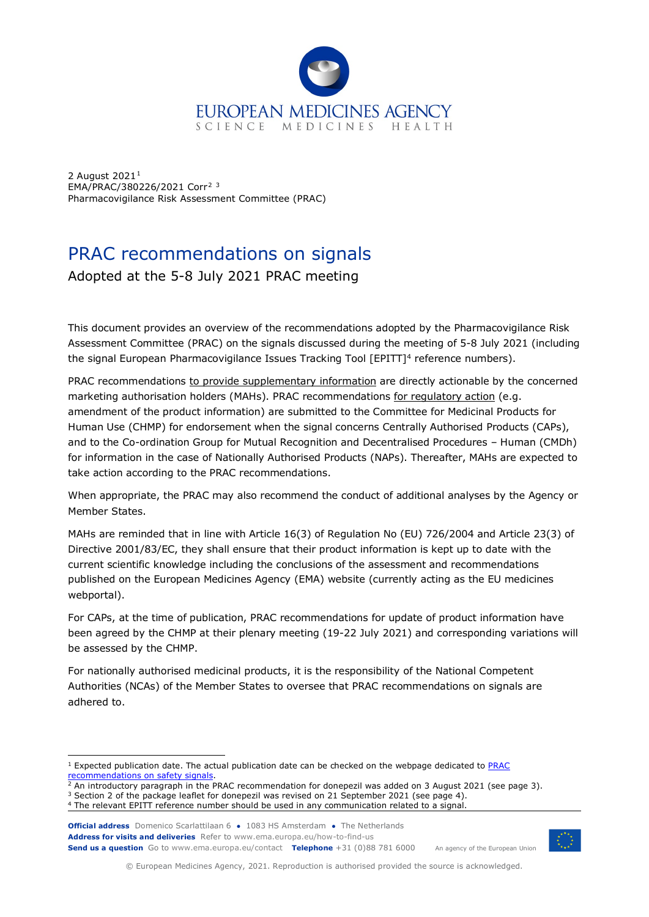

2 August 202[1](#page-0-0)<sup>1</sup> EMA/PRAC/380226/2021 Corr[2](#page-0-1) [3](#page-0-2) Pharmacovigilance Risk Assessment Committee (PRAC)

# PRAC recommendations on signals

Adopted at the 5-8 July 2021 PRAC meeting

This document provides an overview of the recommendations adopted by the Pharmacovigilance Risk Assessment Committee (PRAC) on the signals discussed during the meeting of 5-8 July 2021 (including the signal European Pharmacovigilance Issues Tracking Tool [EPITT]<sup>4</sup> reference numbers).

PRAC recommendations to provide supplementary information are directly actionable by the concerned marketing authorisation holders (MAHs). PRAC recommendations for regulatory action (e.g. amendment of the product information) are submitted to the Committee for Medicinal Products for Human Use (CHMP) for endorsement when the signal concerns Centrally Authorised Products (CAPs), and to the Co-ordination Group for Mutual Recognition and Decentralised Procedures – Human (CMDh) for information in the case of Nationally Authorised Products (NAPs). Thereafter, MAHs are expected to take action according to the PRAC recommendations.

When appropriate, the PRAC may also recommend the conduct of additional analyses by the Agency or Member States.

MAHs are reminded that in line with Article 16(3) of Regulation No (EU) 726/2004 and Article 23(3) of Directive 2001/83/EC, they shall ensure that their product information is kept up to date with the current scientific knowledge including the conclusions of the assessment and recommendations published on the European Medicines Agency (EMA) website (currently acting as the EU medicines webportal).

For CAPs, at the time of publication, PRAC recommendations for update of product information have been agreed by the CHMP at their plenary meeting (19-22 July 2021) and corresponding variations will be assessed by the CHMP.

For nationally authorised medicinal products, it is the responsibility of the National Competent Authorities (NCAs) of the Member States to oversee that PRAC recommendations on signals are adhered to.

**Official address** Domenico Scarlattilaan 6 **●** 1083 HS Amsterdam **●** The Netherlands **Address for visits and deliveries** Refer to www.ema.europa.eu/how-to-find-us **Send us a question** Go to www.ema.europa.eu/contact **Telephone** +31 (0)88 781 6000



An agency of the European Union

© European Medicines Agency, 2021. Reproduction is authorised provided the source is acknowledged.

<span id="page-0-0"></span><sup>1</sup> Expected publication date. The actual publication date can be checked on the webpage dedicated to [PRAC](https://www.ema.europa.eu/en/human-regulatory/post-authorisation/pharmacovigilance/signal-management/prac-recommendations-safety-signals)  recommendations on safety signals

<span id="page-0-1"></span> $\frac{2}{3}$  An introductory paragraph in the PRAC recommendation for donepezil was added on 3 August 2021 (see page 3).

<span id="page-0-2"></span><sup>&</sup>lt;sup>3</sup> Section 2 of the package leaflet for donepezil was revised on 21 September 2021 (see page 4).

<span id="page-0-3"></span><sup>4</sup> The relevant EPITT reference number should be used in any communication related to a signal.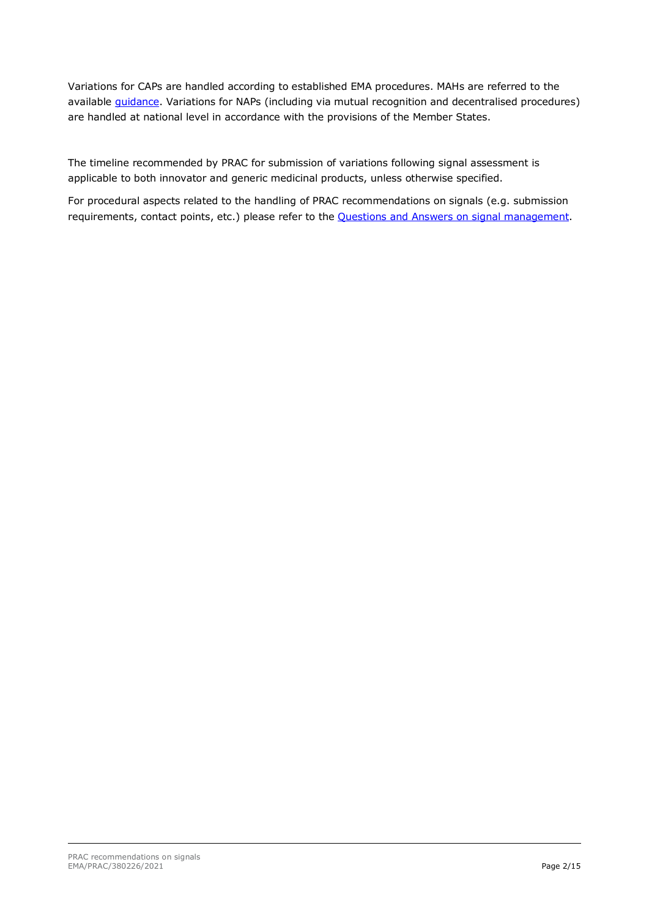Variations for CAPs are handled according to established EMA procedures. MAHs are referred to the available *guidance*. Variations for NAPs (including via mutual recognition and decentralised procedures) are handled at national level in accordance with the provisions of the Member States.

The timeline recommended by PRAC for submission of variations following signal assessment is applicable to both innovator and generic medicinal products, unless otherwise specified.

For procedural aspects related to the handling of PRAC recommendations on signals (e.g. submission requirements, contact points, etc.) please refer to the [Questions and Answers on signal management.](https://www.ema.europa.eu/documents/other/questions-answers-signal-management_en.pdf)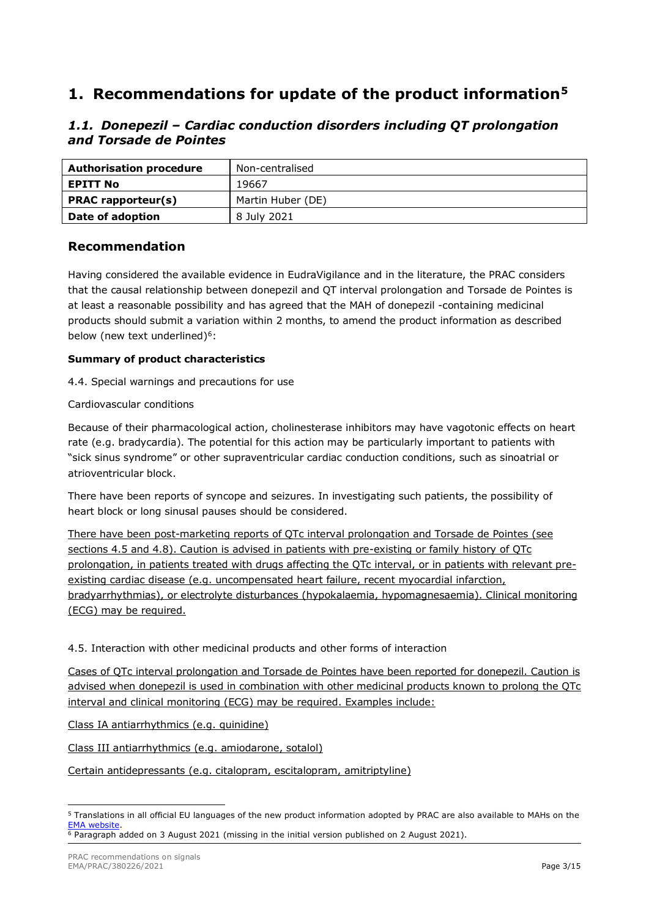# **1. Recommendations for update of the product information[5](#page-2-0)**

# *1.1. Donepezil – Cardiac conduction disorders including QT prolongation and Torsade de Pointes*

| <b>Authorisation procedure</b> | Non-centralised   |
|--------------------------------|-------------------|
| <b>EPITT No</b>                | 19667             |
| <b>PRAC</b> rapporteur(s)      | Martin Huber (DE) |
| Date of adoption               | 8 July 2021       |

# **Recommendation**

Having considered the available evidence in EudraVigilance and in the literature, the PRAC considers that the causal relationship between donepezil and QT interval prolongation and Torsade de Pointes is at least a reasonable possibility and has agreed that the MAH of donepezil -containing medicinal products should submit a variation within 2 months, to amend the product information as described below (new text underlined)<sup>6</sup>:

## **Summary of product characteristics**

4.4. Special warnings and precautions for use

Cardiovascular conditions

Because of their pharmacological action, cholinesterase inhibitors may have vagotonic effects on heart rate (e.g. bradycardia). The potential for this action may be particularly important to patients with "sick sinus syndrome" or other supraventricular cardiac conduction conditions, such as sinoatrial or atrioventricular block.

There have been reports of syncope and seizures. In investigating such patients, the possibility of heart block or long sinusal pauses should be considered.

There have been post-marketing reports of QTc interval prolongation and Torsade de Pointes (see sections 4.5 and 4.8). Caution is advised in patients with pre-existing or family history of QTc prolongation, in patients treated with drugs affecting the QTc interval, or in patients with relevant preexisting cardiac disease (e.g. uncompensated heart failure, recent myocardial infarction, bradyarrhythmias), or electrolyte disturbances (hypokalaemia, hypomagnesaemia). Clinical monitoring (ECG) may be required.

4.5. Interaction with other medicinal products and other forms of interaction

Cases of QTc interval prolongation and Torsade de Pointes have been reported for donepezil. Caution is advised when donepezil is used in combination with other medicinal products known to prolong the QTc interval and clinical monitoring (ECG) may be required. Examples include:

Class IA antiarrhythmics (e.g. quinidine)

Class III antiarrhythmics (e.g. amiodarone, sotalol)

Certain antidepressants (e.g. citalopram, escitalopram, amitriptyline)

<span id="page-2-0"></span><sup>5</sup> Translations in all official EU languages of the new product information adopted by PRAC are also available to MAHs on the **EMA** website

<span id="page-2-1"></span> $6$  Paragraph added on 3 August 2021 (missing in the initial version published on 2 August 2021).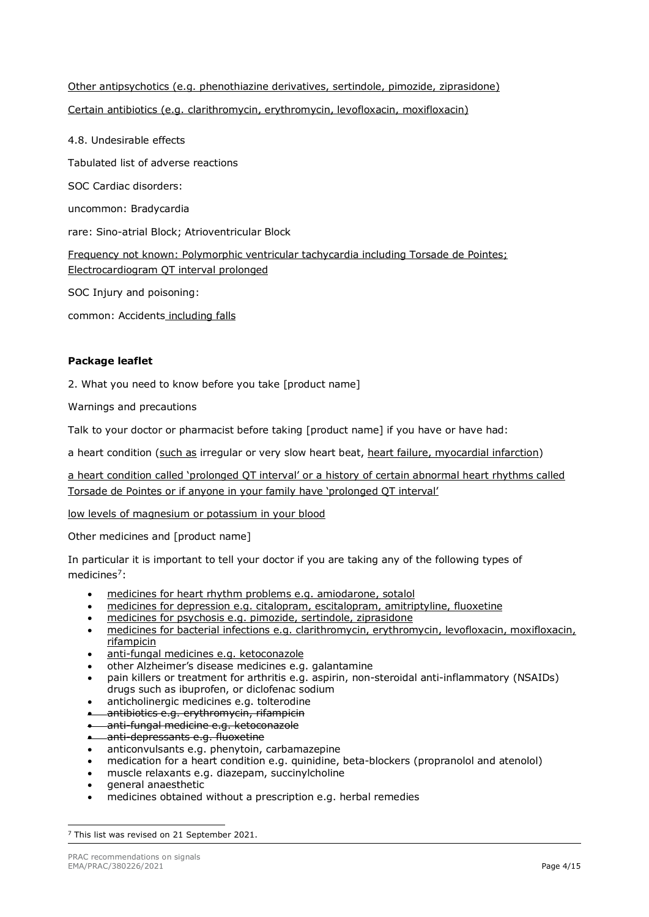# Other antipsychotics (e.g. phenothiazine derivatives, sertindole, pimozide, ziprasidone) Certain antibiotics (e.g. clarithromycin, erythromycin, levofloxacin, moxifloxacin)

4.8. Undesirable effects Tabulated list of adverse reactions SOC Cardiac disorders: uncommon: Bradycardia rare: Sino-atrial Block; Atrioventricular Block Frequency not known: Polymorphic ventricular tachycardia including Torsade de Pointes; Electrocardiogram QT interval prolonged SOC Injury and poisoning: common: Accidents including falls

## **Package leaflet**

2. What you need to know before you take [product name]

Warnings and precautions

Talk to your doctor or pharmacist before taking [product name] if you have or have had:

a heart condition (such as irregular or very slow heart beat, heart failure, myocardial infarction)

a heart condition called 'prolonged QT interval' or a history of certain abnormal heart rhythms called Torsade de Pointes or if anyone in your family have 'prolonged QT interval'

low levels of magnesium or potassium in your blood

Other medicines and [product name]

In particular it is important to tell your doctor if you are taking any of the following types of medicines<sup>7</sup>:

- medicines for heart rhythm problems e.g. amiodarone, sotalol
- medicines for depression e.g. citalopram, escitalopram, amitriptyline, fluoxetine
- medicines for psychosis e.g. pimozide, sertindole, ziprasidone
- medicines for bacterial infections e.g. clarithromycin, erythromycin, levofloxacin, moxifloxacin, rifampicin
- anti-fungal medicines e.g. ketoconazole
- other Alzheimer's disease medicines e.g. galantamine
- pain killers or treatment for arthritis e.g. aspirin, non-steroidal anti-inflammatory (NSAIDs) drugs such as ibuprofen, or diclofenac sodium
- anticholinergic medicines e.g. tolterodine
- antibiotics e.g. erythromycin, rifampicin
- anti-fungal medicine e.g. ketoconazole
- anti-depressants e.g. fluoxetine
- anticonvulsants e.g. phenytoin, carbamazepine
- medication for a heart condition e.g. quinidine, beta-blockers (propranolol and atenolol)
- muscle relaxants e.g. diazepam, succinylcholine
- general anaesthetic
- medicines obtained without a prescription e.g. herbal remedies

<span id="page-3-0"></span><sup>&</sup>lt;sup>7</sup> This list was revised on 21 September 2021.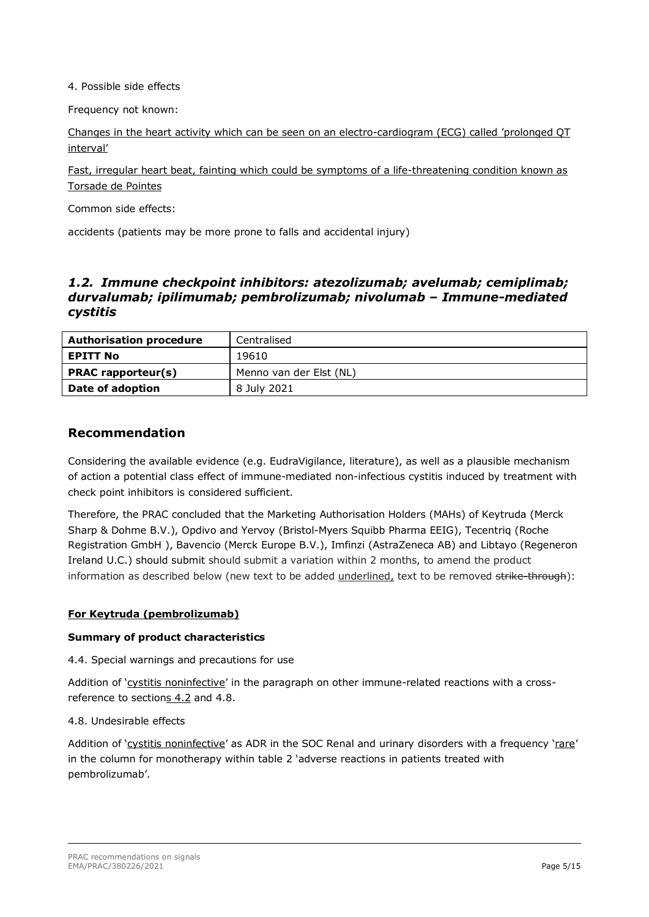4. Possible side effects

Frequency not known:

Changes in the heart activity which can be seen on an electro-cardiogram (ECG) called 'prolonged QT interval'

Fast, irregular heart beat, fainting which could be symptoms of a life-threatening condition known as Torsade de Pointes

Common side effects:

accidents (patients may be more prone to falls and accidental injury)

## *1.2. Immune checkpoint inhibitors: atezolizumab; avelumab; cemiplimab; durvalumab; ipilimumab; pembrolizumab; nivolumab – Immune-mediated cystitis*

| <b>Authorisation procedure</b> | Centralised             |  |
|--------------------------------|-------------------------|--|
| EPITT No                       | 19610                   |  |
| <b>PRAC</b> rapporteur(s)      | Menno van der Elst (NL) |  |
| Date of adoption               | 8 July 2021             |  |

## **Recommendation**

Considering the available evidence (e.g. EudraVigilance, literature), as well as a plausible mechanism of action a potential class effect of immune-mediated non-infectious cystitis induced by treatment with check point inhibitors is considered sufficient.

Therefore, the PRAC concluded that the Marketing Authorisation Holders (MAHs) of Keytruda (Merck Sharp & Dohme B.V.), Opdivo and Yervoy (Bristol-Myers Squibb Pharma EEIG), Tecentriq (Roche Registration GmbH ), Bavencio (Merck Europe B.V.), Imfinzi (AstraZeneca AB) and Libtayo (Regeneron Ireland U.C.) should submit should submit a variation within 2 months, to amend the product information as described below (new text to be added underlined, text to be removed strike through):

## **For Keytruda (pembrolizumab)**

## **Summary of product characteristics**

4.4. Special warnings and precautions for use

Addition of 'cystitis noninfective' in the paragraph on other immune-related reactions with a crossreference to sections 4.2 and 4.8.

## 4.8. Undesirable effects

Addition of 'cystitis noninfective' as ADR in the SOC Renal and urinary disorders with a frequency 'rare' in the column for monotherapy within table 2 'adverse reactions in patients treated with pembrolizumab'.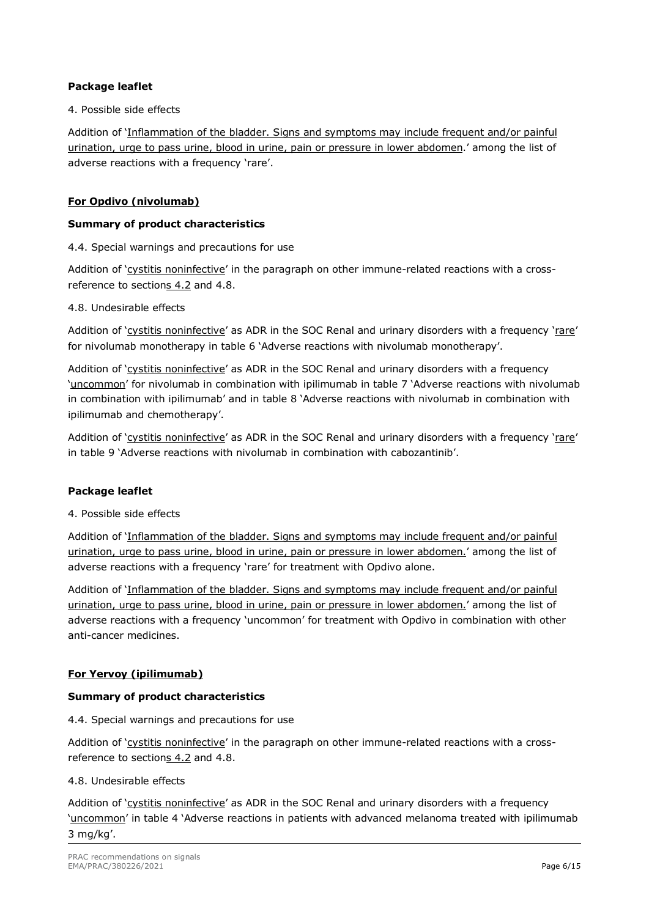## **Package leaflet**

### 4. Possible side effects

Addition of 'Inflammation of the bladder. Signs and symptoms may include frequent and/or painful urination, urge to pass urine, blood in urine, pain or pressure in lower abdomen.' among the list of adverse reactions with a frequency 'rare'.

## **For Opdivo (nivolumab)**

## **Summary of product characteristics**

4.4. Special warnings and precautions for use

Addition of 'cystitis noninfective' in the paragraph on other immune-related reactions with a crossreference to sections 4.2 and 4.8.

#### 4.8. Undesirable effects

Addition of 'cystitis noninfective' as ADR in the SOC Renal and urinary disorders with a frequency 'rare' for nivolumab monotherapy in table 6 'Adverse reactions with nivolumab monotherapy'.

Addition of 'cystitis noninfective' as ADR in the SOC Renal and urinary disorders with a frequency 'uncommon' for nivolumab in combination with ipilimumab in table 7 'Adverse reactions with nivolumab in combination with ipilimumab' and in table 8 'Adverse reactions with nivolumab in combination with ipilimumab and chemotherapy'.

Addition of 'cystitis noninfective' as ADR in the SOC Renal and urinary disorders with a frequency 'rare' in table 9 'Adverse reactions with nivolumab in combination with cabozantinib'.

## **Package leaflet**

4. Possible side effects

Addition of 'Inflammation of the bladder. Signs and symptoms may include frequent and/or painful urination, urge to pass urine, blood in urine, pain or pressure in lower abdomen.' among the list of adverse reactions with a frequency 'rare' for treatment with Opdivo alone.

Addition of 'Inflammation of the bladder. Signs and symptoms may include frequent and/or painful urination, urge to pass urine, blood in urine, pain or pressure in lower abdomen.' among the list of adverse reactions with a frequency 'uncommon' for treatment with Opdivo in combination with other anti-cancer medicines.

## **For Yervoy (ipilimumab)**

## **Summary of product characteristics**

4.4. Special warnings and precautions for use

Addition of 'cystitis noninfective' in the paragraph on other immune-related reactions with a crossreference to sections 4.2 and 4.8.

#### 4.8. Undesirable effects

Addition of 'cystitis noninfective' as ADR in the SOC Renal and urinary disorders with a frequency 'uncommon' in table 4 'Adverse reactions in patients with advanced melanoma treated with ipilimumab 3 mg/kg'.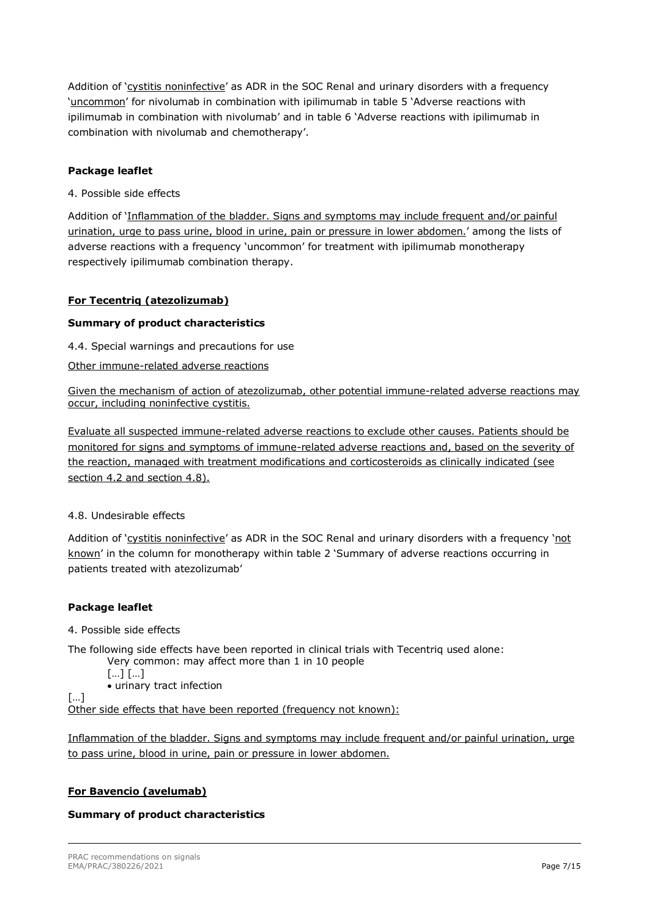Addition of 'cystitis noninfective' as ADR in the SOC Renal and urinary disorders with a frequency 'uncommon' for nivolumab in combination with ipilimumab in table 5 'Adverse reactions with ipilimumab in combination with nivolumab' and in table 6 'Adverse reactions with ipilimumab in combination with nivolumab and chemotherapy'.

## **Package leaflet**

4. Possible side effects

Addition of 'Inflammation of the bladder. Signs and symptoms may include frequent and/or painful urination, urge to pass urine, blood in urine, pain or pressure in lower abdomen.' among the lists of adverse reactions with a frequency 'uncommon' for treatment with ipilimumab monotherapy respectively ipilimumab combination therapy.

## **For Tecentriq (atezolizumab)**

## **Summary of product characteristics**

4.4. Special warnings and precautions for use

## Other immune-related adverse reactions

Given the mechanism of action of atezolizumab, other potential immune-related adverse reactions may occur, including noninfective cystitis.

Evaluate all suspected immune-related adverse reactions to exclude other causes. Patients should be monitored for signs and symptoms of immune-related adverse reactions and, based on the severity of the reaction, managed with treatment modifications and corticosteroids as clinically indicated (see section 4.2 and section 4.8).

## 4.8. Undesirable effects

Addition of 'cystitis noninfective' as ADR in the SOC Renal and urinary disorders with a frequency 'not known' in the column for monotherapy within table 2 'Summary of adverse reactions occurring in patients treated with atezolizumab'

## **Package leaflet**

4. Possible side effects

The following side effects have been reported in clinical trials with Tecentriq used alone: Very common: may affect more than 1 in 10 people

[…] […]

• urinary tract infection

[…] Other side effects that have been reported (frequency not known):

Inflammation of the bladder. Signs and symptoms may include frequent and/or painful urination, urge to pass urine, blood in urine, pain or pressure in lower abdomen.

## **For Bavencio (avelumab)**

## **Summary of product characteristics**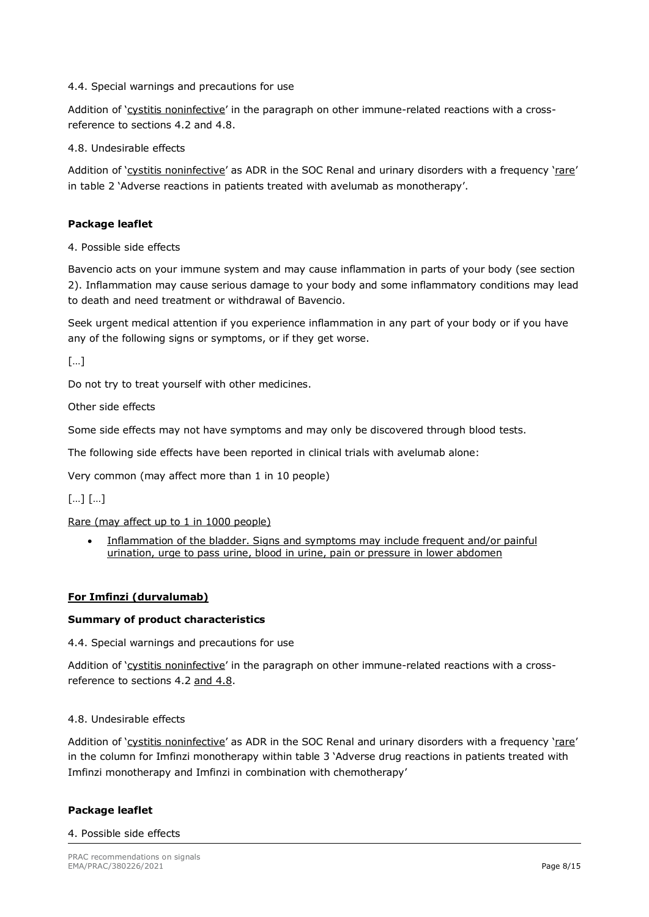#### 4.4. Special warnings and precautions for use

Addition of 'cystitis noninfective' in the paragraph on other immune-related reactions with a crossreference to sections 4.2 and 4.8.

4.8. Undesirable effects

Addition of 'cystitis noninfective' as ADR in the SOC Renal and urinary disorders with a frequency 'rare' in table 2 'Adverse reactions in patients treated with avelumab as monotherapy'.

#### **Package leaflet**

4. Possible side effects

Bavencio acts on your immune system and may cause inflammation in parts of your body (see section 2). Inflammation may cause serious damage to your body and some inflammatory conditions may lead to death and need treatment or withdrawal of Bavencio.

Seek urgent medical attention if you experience inflammation in any part of your body or if you have any of the following signs or symptoms, or if they get worse.

[…]

Do not try to treat yourself with other medicines.

Other side effects

Some side effects may not have symptoms and may only be discovered through blood tests.

The following side effects have been reported in clinical trials with avelumab alone:

Very common (may affect more than 1 in 10 people)

[…] […]

Rare (may affect up to 1 in 1000 people)

Inflammation of the bladder. Signs and symptoms may include frequent and/or painful urination, urge to pass urine, blood in urine, pain or pressure in lower abdomen

## **For Imfinzi (durvalumab)**

#### **Summary of product characteristics**

4.4. Special warnings and precautions for use

Addition of 'cystitis noninfective' in the paragraph on other immune-related reactions with a crossreference to sections 4.2 and 4.8.

#### 4.8. Undesirable effects

Addition of 'cystitis noninfective' as ADR in the SOC Renal and urinary disorders with a frequency 'rare' in the column for Imfinzi monotherapy within table 3 'Adverse drug reactions in patients treated with Imfinzi monotherapy and Imfinzi in combination with chemotherapy'

#### **Package leaflet**

#### 4. Possible side effects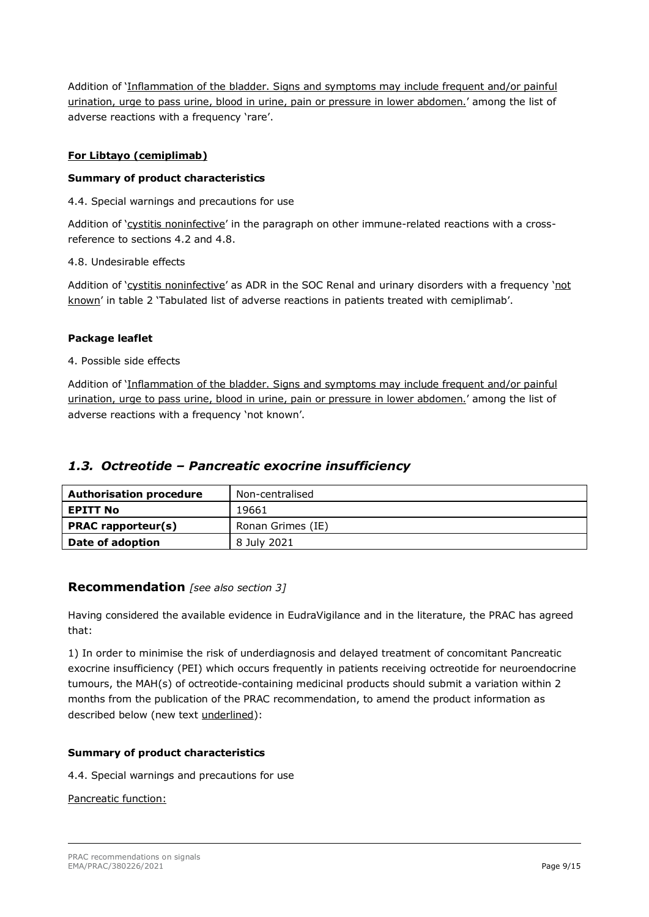Addition of 'Inflammation of the bladder. Signs and symptoms may include frequent and/or painful urination, urge to pass urine, blood in urine, pain or pressure in lower abdomen.' among the list of adverse reactions with a frequency 'rare'.

## **For Libtayo (cemiplimab)**

## **Summary of product characteristics**

4.4. Special warnings and precautions for use

Addition of 'cystitis noninfective' in the paragraph on other immune-related reactions with a crossreference to sections 4.2 and 4.8.

#### 4.8. Undesirable effects

Addition of 'cystitis noninfective' as ADR in the SOC Renal and urinary disorders with a frequency 'not known' in table 2 'Tabulated list of adverse reactions in patients treated with cemiplimab'.

## **Package leaflet**

#### 4. Possible side effects

Addition of 'Inflammation of the bladder. Signs and symptoms may include frequent and/or painful urination, urge to pass urine, blood in urine, pain or pressure in lower abdomen.' among the list of adverse reactions with a frequency 'not known'.

## *1.3. Octreotide – Pancreatic exocrine insufficiency*

| <b>Authorisation procedure</b> | Non-centralised   |
|--------------------------------|-------------------|
| <b>EPITT No</b>                | 19661             |
| <b>PRAC</b> rapporteur(s)      | Ronan Grimes (IE) |
| Date of adoption               | 8 July 2021       |

## **Recommendation** *[see also section 3]*

Having considered the available evidence in EudraVigilance and in the literature, the PRAC has agreed that:

1) In order to minimise the risk of underdiagnosis and delayed treatment of concomitant Pancreatic exocrine insufficiency (PEI) which occurs frequently in patients receiving octreotide for neuroendocrine tumours, the MAH(s) of octreotide-containing medicinal products should submit a variation within 2 months from the publication of the PRAC recommendation, to amend the product information as described below (new text underlined):

## **Summary of product characteristics**

4.4. Special warnings and precautions for use

#### Pancreatic function: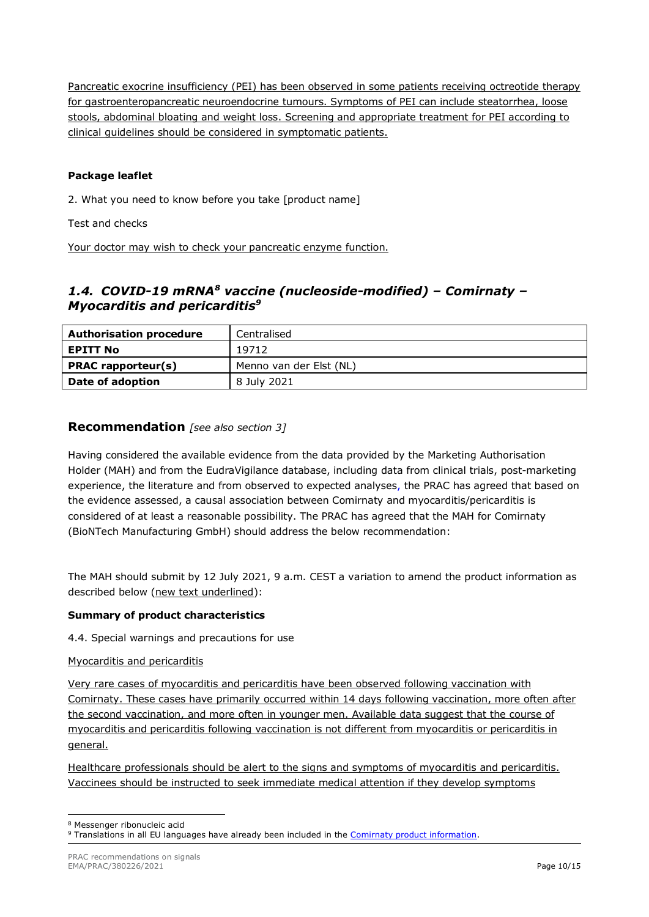Pancreatic exocrine insufficiency (PEI) has been observed in some patients receiving octreotide therapy for gastroenteropancreatic neuroendocrine tumours. Symptoms of PEI can include steatorrhea, loose stools, abdominal bloating and weight loss. Screening and appropriate treatment for PEI according to clinical guidelines should be considered in symptomatic patients.

## **Package leaflet**

2. What you need to know before you take [product name]

Test and checks

Your doctor may wish to check your pancreatic enzyme function.

# *1.4. COVID-19 mRNA[8](#page-9-0) vaccine (nucleoside-modified) – Comirnaty – Myocarditis and pericarditis[9](#page-9-1)*

| <b>Authorisation procedure</b><br>Centralised |                         |  |
|-----------------------------------------------|-------------------------|--|
| <b>EPITT No</b>                               | 19712                   |  |
| <b>PRAC</b> rapporteur(s)                     | Menno van der Elst (NL) |  |
| Date of adoption                              | 8 July 2021             |  |

## **Recommendation** *[see also section 3]*

Having considered the available evidence from the data provided by the Marketing Authorisation Holder (MAH) and from the EudraVigilance database, including data from clinical trials, post-marketing experience, the literature and from observed to expected analyses, the PRAC has agreed that based on the evidence assessed, a causal association between Comirnaty and myocarditis/pericarditis is considered of at least a reasonable possibility. The PRAC has agreed that the MAH for Comirnaty (BioNTech Manufacturing GmbH) should address the below recommendation:

The MAH should submit by 12 July 2021, 9 a.m. CEST a variation to amend the product information as described below (new text underlined):

## **Summary of product characteristics**

4.4. Special warnings and precautions for use

#### Myocarditis and pericarditis

Very rare cases of myocarditis and pericarditis have been observed following vaccination with Comirnaty. These cases have primarily occurred within 14 days following vaccination, more often after the second vaccination, and more often in younger men. Available data suggest that the course of myocarditis and pericarditis following vaccination is not different from myocarditis or pericarditis in general.

Healthcare professionals should be alert to the signs and symptoms of myocarditis and pericarditis. Vaccinees should be instructed to seek immediate medical attention if they develop symptoms

<span id="page-9-0"></span><sup>8</sup> Messenger ribonucleic acid

<span id="page-9-1"></span><sup>9</sup> Translations in all EU languages have already been included in the [Comirnaty product information.](https://www.ema.europa.eu/en/medicines/human/EPAR/comirnaty#product-information-section)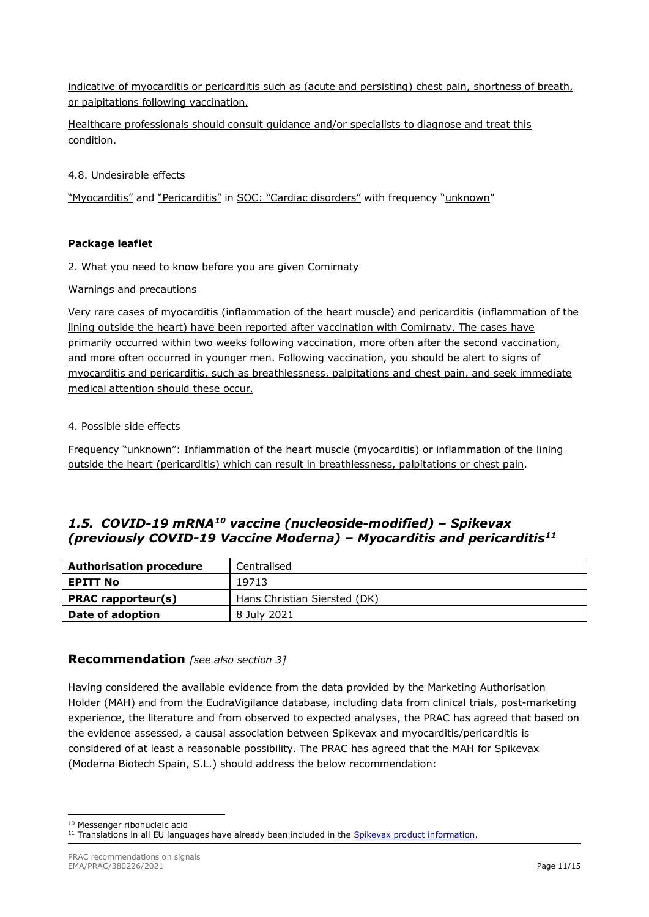indicative of myocarditis or pericarditis such as (acute and persisting) chest pain, shortness of breath, or palpitations following vaccination.

Healthcare professionals should consult guidance and/or specialists to diagnose and treat this condition.

4.8. Undesirable effects

"Myocarditis" and "Pericarditis" in SOC: "Cardiac disorders" with frequency "unknown"

## **Package leaflet**

2. What you need to know before you are given Comirnaty

Warnings and precautions

Very rare cases of myocarditis (inflammation of the heart muscle) and pericarditis (inflammation of the lining outside the heart) have been reported after vaccination with Comirnaty. The cases have primarily occurred within two weeks following vaccination, more often after the second vaccination, and more often occurred in younger men. Following vaccination, you should be alert to signs of myocarditis and pericarditis, such as breathlessness, palpitations and chest pain, and seek immediate medical attention should these occur.

## 4. Possible side effects

Frequency "unknown": Inflammation of the heart muscle (myocarditis) or inflammation of the lining outside the heart (pericarditis) which can result in breathlessness, palpitations or chest pain.

# *1.5. COVID-19 mRNA[10](#page-10-0) vaccine (nucleoside-modified) – Spikevax (previously COVID-19 Vaccine Moderna) – Myocarditis and pericarditis[11](#page-10-1)*

| Centralised<br><b>Authorisation procedure</b> |                              |
|-----------------------------------------------|------------------------------|
| <b>EPITT No</b>                               | 19713                        |
| <b>PRAC</b> rapporteur(s)                     | Hans Christian Siersted (DK) |
| Date of adoption                              | 8 July 2021                  |

## **Recommendation** *[see also section 3]*

Having considered the available evidence from the data provided by the Marketing Authorisation Holder (MAH) and from the EudraVigilance database, including data from clinical trials, post-marketing experience, the literature and from observed to expected analyses, the PRAC has agreed that based on the evidence assessed, a causal association between Spikevax and myocarditis/pericarditis is considered of at least a reasonable possibility. The PRAC has agreed that the MAH for Spikevax (Moderna Biotech Spain, S.L.) should address the below recommendation:

<span id="page-10-0"></span><sup>10</sup> Messenger ribonucleic acid

<span id="page-10-1"></span><sup>&</sup>lt;sup>11</sup> Translations in all EU languages have already been included in the [Spikevax product information.](https://www.ema.europa.eu/en/medicines/human/EPAR/spikevax-previously-covid-19-vaccine-moderna#product-information-section)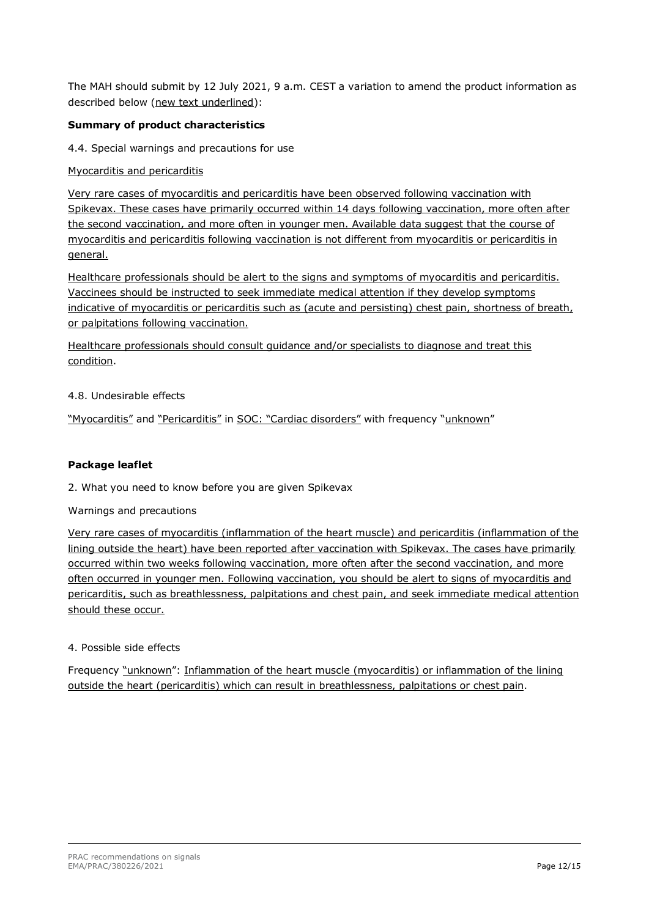The MAH should submit by 12 July 2021, 9 a.m. CEST a variation to amend the product information as described below (new text underlined):

## **Summary of product characteristics**

4.4. Special warnings and precautions for use

Myocarditis and pericarditis

Very rare cases of myocarditis and pericarditis have been observed following vaccination with Spikevax. These cases have primarily occurred within 14 days following vaccination, more often after the second vaccination, and more often in younger men. Available data suggest that the course of myocarditis and pericarditis following vaccination is not different from myocarditis or pericarditis in general.

Healthcare professionals should be alert to the signs and symptoms of myocarditis and pericarditis. Vaccinees should be instructed to seek immediate medical attention if they develop symptoms indicative of myocarditis or pericarditis such as (acute and persisting) chest pain, shortness of breath, or palpitations following vaccination.

Healthcare professionals should consult guidance and/or specialists to diagnose and treat this condition.

#### 4.8. Undesirable effects

"Myocarditis" and "Pericarditis" in SOC: "Cardiac disorders" with frequency "unknown"

### **Package leaflet**

2. What you need to know before you are given Spikevax

Warnings and precautions

Very rare cases of myocarditis (inflammation of the heart muscle) and pericarditis (inflammation of the lining outside the heart) have been reported after vaccination with Spikevax. The cases have primarily occurred within two weeks following vaccination, more often after the second vaccination, and more often occurred in younger men. Following vaccination, you should be alert to signs of myocarditis and pericarditis, such as breathlessness, palpitations and chest pain, and seek immediate medical attention should these occur.

## 4. Possible side effects

Frequency "unknown": Inflammation of the heart muscle (myocarditis) or inflammation of the lining outside the heart (pericarditis) which can result in breathlessness, palpitations or chest pain.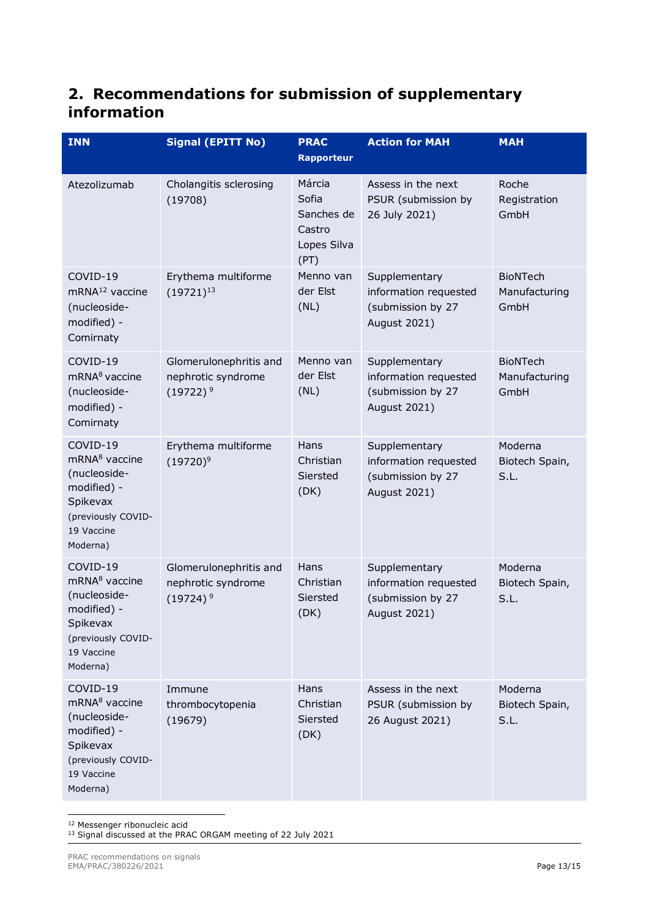# **2. Recommendations for submission of supplementary information**

| <b>INN</b>                                                                                                                       | <b>Signal (EPITT No)</b>                                    | <b>PRAC</b><br><b>Rapporteur</b>                               | <b>Action for MAH</b>                                                              | <b>MAH</b>                               |
|----------------------------------------------------------------------------------------------------------------------------------|-------------------------------------------------------------|----------------------------------------------------------------|------------------------------------------------------------------------------------|------------------------------------------|
| Atezolizumab                                                                                                                     | Cholangitis sclerosing<br>(19708)                           | Márcia<br>Sofia<br>Sanches de<br>Castro<br>Lopes Silva<br>(PT) | Assess in the next<br>PSUR (submission by<br>26 July 2021)                         | Roche<br>Registration<br>GmbH            |
| COVID-19<br>mRNA <sup>12</sup> vaccine<br>(nucleoside-<br>modified) -<br>Comirnaty                                               | Erythema multiforme<br>$(19721)^{13}$                       | Menno van<br>der Elst<br>(NL)                                  | Supplementary<br>information requested<br>(submission by 27<br>August 2021)        | <b>BioNTech</b><br>Manufacturing<br>GmbH |
| COVID-19<br>mRNA <sup>8</sup> vaccine<br>(nucleoside-<br>modified) -<br>Comirnaty                                                | Glomerulonephritis and<br>nephrotic syndrome<br>$(19722)^9$ | Menno van<br>der Elst<br>(NL)                                  | Supplementary<br>information requested<br>(submission by 27<br>August 2021)        | <b>BioNTech</b><br>Manufacturing<br>GmbH |
| COVID-19<br>mRNA <sup>8</sup> vaccine<br>(nucleoside-<br>modified) -<br>Spikevax<br>(previously COVID-<br>19 Vaccine<br>Moderna) | Erythema multiforme<br>$(19720)^9$                          | Hans<br>Christian<br>Siersted<br>(DK)                          | Supplementary<br>information requested<br>(submission by 27<br>August 2021)        | Moderna<br>Biotech Spain,<br>S.L.        |
| COVID-19<br>mRNA <sup>8</sup> vaccine<br>(nucleoside-<br>modified) -<br>Spikevax<br>(previously COVID-<br>19 Vaccine<br>Moderna) | Glomerulonephritis and<br>nephrotic syndrome<br>$(19724)^9$ | Hans<br>Christian<br>Siersted<br>(DK)                          | Supplementary<br>information requested<br>(submission by 27<br><b>August 2021)</b> | Moderna<br>Biotech Spain,<br>S.L.        |
| COVID-19<br>mRNA <sup>8</sup> vaccine<br>(nucleoside-<br>modified) -<br>Spikevax<br>(previously COVID-<br>19 Vaccine<br>Moderna) | Immune<br>thrombocytopenia<br>(19679)                       | Hans<br>Christian<br>Siersted<br>(DK)                          | Assess in the next<br>PSUR (submission by<br>26 August 2021)                       | Moderna<br>Biotech Spain,<br>S.L.        |

<span id="page-12-0"></span><sup>12</sup> Messenger ribonucleic acid

<span id="page-12-1"></span><sup>&</sup>lt;sup>13</sup> Signal discussed at the PRAC ORGAM meeting of 22 July 2021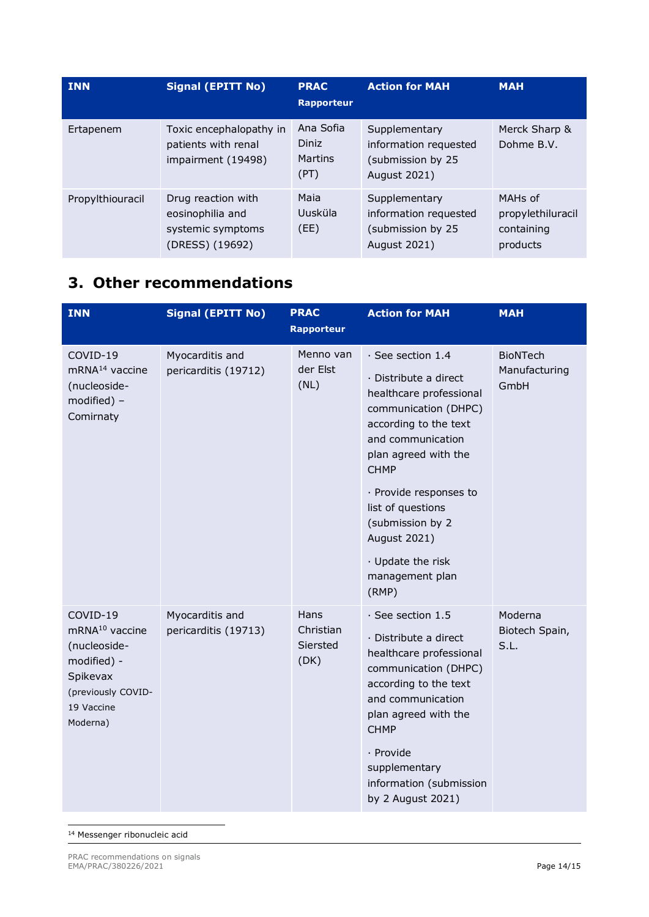| <b>INN</b>       | <b>Signal (EPITT No)</b>                                                       | <b>PRAC</b><br><b>Rapporteur</b>      | <b>Action for MAH</b>                                                       | <b>MAH</b>                                                         |
|------------------|--------------------------------------------------------------------------------|---------------------------------------|-----------------------------------------------------------------------------|--------------------------------------------------------------------|
| Ertapenem        | Toxic encephalopathy in<br>patients with renal<br>impairment (19498)           | Ana Sofia<br>Diniz<br>Martins<br>(PT) | Supplementary<br>information requested<br>(submission by 25<br>August 2021) | Merck Sharp &<br>Dohme B.V.                                        |
| Propylthiouracil | Drug reaction with<br>eosinophilia and<br>systemic symptoms<br>(DRESS) (19692) | Maia<br>Uusküla<br>(EE)               | Supplementary<br>information requested<br>(submission by 25<br>August 2021) | MAH <sub>s</sub> of<br>propylethiluracil<br>containing<br>products |

# **3. Other recommendations**

| <b>INN</b>                                                                                                                        | <b>Signal (EPITT No)</b>                | <b>PRAC</b><br><b>Rapporteur</b>      | <b>Action for MAH</b>                                                                                                                                                                                                                                                                                                        | <b>MAH</b>                               |
|-----------------------------------------------------------------------------------------------------------------------------------|-----------------------------------------|---------------------------------------|------------------------------------------------------------------------------------------------------------------------------------------------------------------------------------------------------------------------------------------------------------------------------------------------------------------------------|------------------------------------------|
| COVID-19<br>mRNA <sup>14</sup> vaccine<br>(nucleoside-<br>modified) -<br>Comirnaty                                                | Myocarditis and<br>pericarditis (19712) | Menno van<br>der Elst<br>(NL)         | $\cdot$ See section 1.4<br>· Distribute a direct<br>healthcare professional<br>communication (DHPC)<br>according to the text<br>and communication<br>plan agreed with the<br><b>CHMP</b><br>· Provide responses to<br>list of questions<br>(submission by 2<br>August 2021)<br>· Update the risk<br>management plan<br>(RMP) | <b>BioNTech</b><br>Manufacturing<br>GmbH |
| COVID-19<br>mRNA <sup>10</sup> vaccine<br>(nucleoside-<br>modified) -<br>Spikevax<br>(previously COVID-<br>19 Vaccine<br>Moderna) | Myocarditis and<br>pericarditis (19713) | Hans<br>Christian<br>Siersted<br>(DK) | $\cdot$ See section 1.5<br>· Distribute a direct<br>healthcare professional<br>communication (DHPC)<br>according to the text<br>and communication<br>plan agreed with the<br><b>CHMP</b><br>· Provide<br>supplementary<br>information (submission<br>by 2 August 2021)                                                       | Moderna<br>Biotech Spain,<br>S.L.        |

<span id="page-13-0"></span><sup>14</sup> Messenger ribonucleic acid